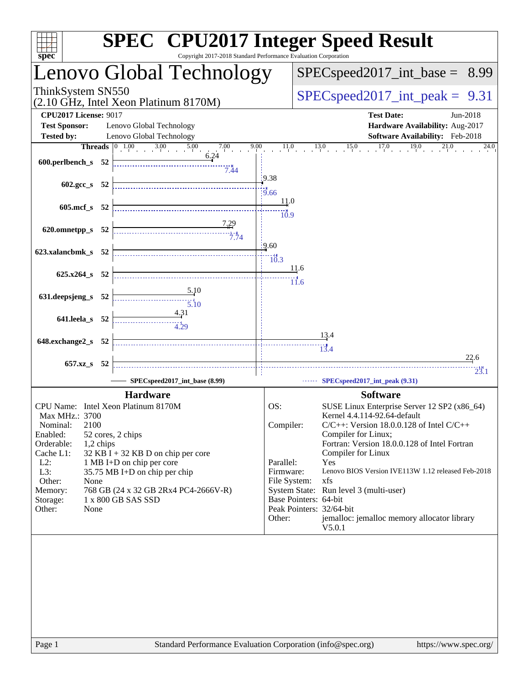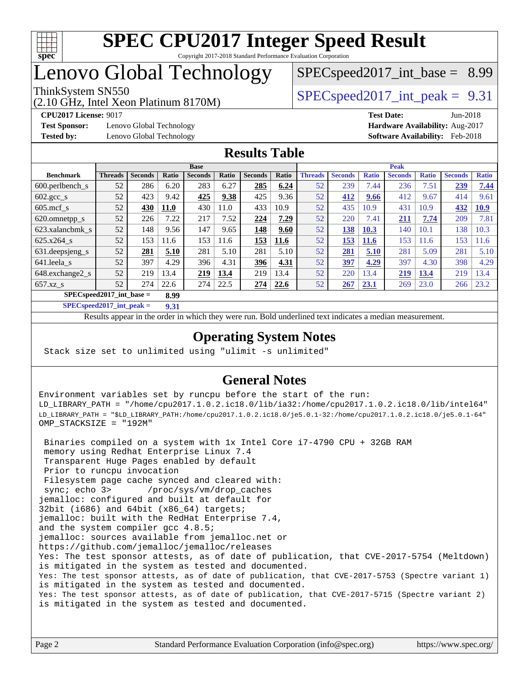

# Lenovo Global Technology

(2.10 GHz, Intel Xeon Platinum 8170M)

ThinkSystem SN550  $SPEC speed2017$  int peak = 9.31

 $SPECspeed2017\_int\_base = 8.99$ 

**[Test Sponsor:](http://www.spec.org/auto/cpu2017/Docs/result-fields.html#TestSponsor)** Lenovo Global Technology **[Hardware Availability:](http://www.spec.org/auto/cpu2017/Docs/result-fields.html#HardwareAvailability)** Aug-2017

**[CPU2017 License:](http://www.spec.org/auto/cpu2017/Docs/result-fields.html#CPU2017License)** 9017 **[Test Date:](http://www.spec.org/auto/cpu2017/Docs/result-fields.html#TestDate)** Jun-2018 **[Tested by:](http://www.spec.org/auto/cpu2017/Docs/result-fields.html#Testedby)** Lenovo Global Technology **[Software Availability:](http://www.spec.org/auto/cpu2017/Docs/result-fields.html#SoftwareAvailability)** Feb-2018

### **[Results Table](http://www.spec.org/auto/cpu2017/Docs/result-fields.html#ResultsTable)**

|                                     | <b>Base</b>    |                |             |                |       |                |       | <b>Peak</b>    |                |              |                |              |                |              |
|-------------------------------------|----------------|----------------|-------------|----------------|-------|----------------|-------|----------------|----------------|--------------|----------------|--------------|----------------|--------------|
| <b>Benchmark</b>                    | <b>Threads</b> | <b>Seconds</b> | Ratio       | <b>Seconds</b> | Ratio | <b>Seconds</b> | Ratio | <b>Threads</b> | <b>Seconds</b> | <b>Ratio</b> | <b>Seconds</b> | <b>Ratio</b> | <b>Seconds</b> | <b>Ratio</b> |
| $600.$ perlbench $_s$               | 52             | 286            | 6.20        | 283            | 6.27  | 285            | 6.24  | 52             | 239            | 7.44         | 236            | 7.51         | 239            | 7.44         |
| $602 \text{.} \text{gcc}\text{.}$ s | 52             | 423            | 9.42        | 425            | 9.38  | 425            | 9.36  | 52             | 412            | 9.66         | 412            | 9.67         | 414            | 9.61         |
| $605$ .mcf s                        | 52             | 430            | <b>11.0</b> | 430            | 11.0  | 433            | 10.9  | 52             | 435            | 10.9         | 431            | 10.9         | 432            | <b>10.9</b>  |
| 620.omnetpp_s                       | 52             | 226            | 7.22        | 217            | 7.52  | 224            | 7.29  | 52             | 220            | 7.41         | 211            | 7.74         | 209            | 7.81         |
| 623.xalancbmk s                     | 52             | 148            | 9.56        | 147            | 9.65  | 148            | 9.60  | 52             | 138            | 10.3         | 140            | 10.1         | 138            | 10.3         |
| 625.x264 s                          | 52             | 153            | 11.6        | 153            | 11.6  | 153            | 11.6  | 52             | 153            | <b>11.6</b>  | 153            | 11.6         | 153            | 11.6         |
| 631.deepsjeng_s                     | 52             | 281            | 5.10        | 281            | 5.10  | 281            | 5.10  | 52             | 281            | 5.10         | 281            | 5.09         | 281            | 5.10         |
| 641.leela s                         | 52             | 397            | 4.29        | 396            | 4.31  | 396            | 4.31  | 52             | 397            | 4.29         | 397            | 4.30         | 398            | 4.29         |
| 648.exchange2_s                     | 52             | 219            | 13.4        | 219            | 13.4  | 219            | 13.4  | 52             | 220            | 13.4         | 219            | 13.4         | 219            | 13.4         |
| $657.xz$ s                          | 52             | 274            | 22.6        | 274            | 22.5  | 274            | 22.6  | 52             | 267            | 23.1         | 269            | 23.0         | 266            | 23.2         |
| $SPECspeed2017$ int base =<br>8.99  |                |                |             |                |       |                |       |                |                |              |                |              |                |              |

**[SPECspeed2017\\_int\\_peak =](http://www.spec.org/auto/cpu2017/Docs/result-fields.html#SPECspeed2017intpeak) 9.31**

Results appear in the [order in which they were run.](http://www.spec.org/auto/cpu2017/Docs/result-fields.html#RunOrder) Bold underlined text [indicates a median measurement](http://www.spec.org/auto/cpu2017/Docs/result-fields.html#Median).

### **[Operating System Notes](http://www.spec.org/auto/cpu2017/Docs/result-fields.html#OperatingSystemNotes)**

Stack size set to unlimited using "ulimit -s unlimited"

### **[General Notes](http://www.spec.org/auto/cpu2017/Docs/result-fields.html#GeneralNotes)**

Environment variables set by runcpu before the start of the run: LD\_LIBRARY\_PATH = "/home/cpu2017.1.0.2.ic18.0/lib/ia32:/home/cpu2017.1.0.2.ic18.0/lib/intel64" LD\_LIBRARY\_PATH = "\$LD\_LIBRARY\_PATH:/home/cpu2017.1.0.2.ic18.0/je5.0.1-32:/home/cpu2017.1.0.2.ic18.0/je5.0.1-64" OMP\_STACKSIZE = "192M"

 Binaries compiled on a system with 1x Intel Core i7-4790 CPU + 32GB RAM memory using Redhat Enterprise Linux 7.4 Transparent Huge Pages enabled by default Prior to runcpu invocation Filesystem page cache synced and cleared with: sync; echo 3> /proc/sys/vm/drop\_caches jemalloc: configured and built at default for 32bit (i686) and 64bit (x86\_64) targets; jemalloc: built with the RedHat Enterprise 7.4, and the system compiler gcc 4.8.5; jemalloc: sources available from jemalloc.net or <https://github.com/jemalloc/jemalloc/releases> Yes: The test sponsor attests, as of date of publication, that CVE-2017-5754 (Meltdown) is mitigated in the system as tested and documented. Yes: The test sponsor attests, as of date of publication, that CVE-2017-5753 (Spectre variant 1) is mitigated in the system as tested and documented. Yes: The test sponsor attests, as of date of publication, that CVE-2017-5715 (Spectre variant 2) is mitigated in the system as tested and documented.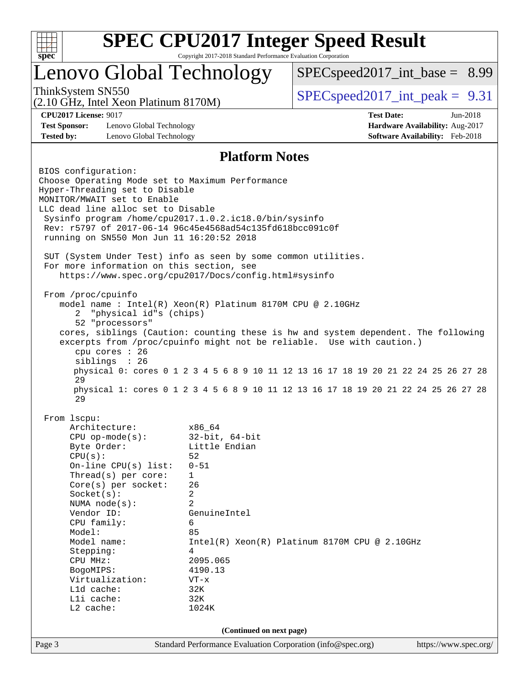

## Lenovo Global Technology

 $SPEC speed2017\_int\_base = 8.99$ 

(2.10 GHz, Intel Xeon Platinum 8170M)

ThinkSystem SN550  $SPEC speed2017$  int peak = 9.31

**[Test Sponsor:](http://www.spec.org/auto/cpu2017/Docs/result-fields.html#TestSponsor)** Lenovo Global Technology **[Hardware Availability:](http://www.spec.org/auto/cpu2017/Docs/result-fields.html#HardwareAvailability)** Aug-2017 **[Tested by:](http://www.spec.org/auto/cpu2017/Docs/result-fields.html#Testedby)** Lenovo Global Technology **[Software Availability:](http://www.spec.org/auto/cpu2017/Docs/result-fields.html#SoftwareAvailability)** Feb-2018

**[CPU2017 License:](http://www.spec.org/auto/cpu2017/Docs/result-fields.html#CPU2017License)** 9017 **[Test Date:](http://www.spec.org/auto/cpu2017/Docs/result-fields.html#TestDate)** Jun-2018

#### **[Platform Notes](http://www.spec.org/auto/cpu2017/Docs/result-fields.html#PlatformNotes)**

Page 3 Standard Performance Evaluation Corporation [\(info@spec.org\)](mailto:info@spec.org) <https://www.spec.org/> BIOS configuration: Choose Operating Mode set to Maximum Performance Hyper-Threading set to Disable MONITOR/MWAIT set to Enable LLC dead line alloc set to Disable Sysinfo program /home/cpu2017.1.0.2.ic18.0/bin/sysinfo Rev: r5797 of 2017-06-14 96c45e4568ad54c135fd618bcc091c0f running on SN550 Mon Jun 11 16:20:52 2018 SUT (System Under Test) info as seen by some common utilities. For more information on this section, see <https://www.spec.org/cpu2017/Docs/config.html#sysinfo> From /proc/cpuinfo model name : Intel(R) Xeon(R) Platinum 8170M CPU @ 2.10GHz 2 "physical id"s (chips) 52 "processors" cores, siblings (Caution: counting these is hw and system dependent. The following excerpts from /proc/cpuinfo might not be reliable. Use with caution.) cpu cores : 26 siblings : 26 physical 0: cores 0 1 2 3 4 5 6 8 9 10 11 12 13 16 17 18 19 20 21 22 24 25 26 27 28 29 physical 1: cores 0 1 2 3 4 5 6 8 9 10 11 12 13 16 17 18 19 20 21 22 24 25 26 27 28 29 From lscpu: Architecture: x86\_64<br>
CPU op-mode(s): 32-bit, 64-bit CPU op-mode $(s):$ Byte Order: Little Endian  $CPU(s):$  52 On-line CPU(s) list: 0-51 Thread(s) per core: 1 Core(s) per socket: 26 Socket(s): 2 NUMA node(s): 2 Vendor ID: GenuineIntel CPU family: 6 Model: 85 Model name: Intel(R) Xeon(R) Platinum 8170M CPU @ 2.10GHz Stepping: 4 CPU MHz: 2095.065 BogoMIPS: 4190.13 Virtualization: VT-x L1d cache: 32K L1i cache: 32K L2 cache: 1024K **(Continued on next page)**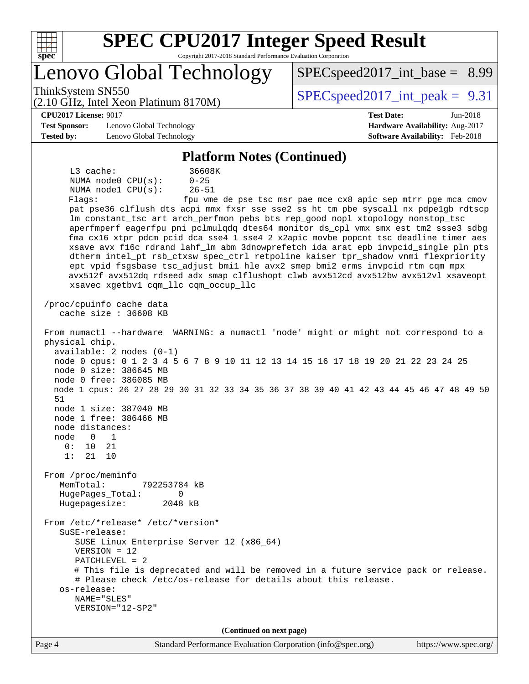

## Lenovo Global Technology

ThinkSystem SN550  $SPEC speed2017$  int peak = 9.31

 $SPECspeed2017\_int\_base = 8.99$ 

#### **[CPU2017 License:](http://www.spec.org/auto/cpu2017/Docs/result-fields.html#CPU2017License)** 9017 **[Test Date:](http://www.spec.org/auto/cpu2017/Docs/result-fields.html#TestDate)** Jun-2018

**[Test Sponsor:](http://www.spec.org/auto/cpu2017/Docs/result-fields.html#TestSponsor)** Lenovo Global Technology **[Hardware Availability:](http://www.spec.org/auto/cpu2017/Docs/result-fields.html#HardwareAvailability)** Aug-2017 **[Tested by:](http://www.spec.org/auto/cpu2017/Docs/result-fields.html#Testedby)** Lenovo Global Technology **[Software Availability:](http://www.spec.org/auto/cpu2017/Docs/result-fields.html#SoftwareAvailability)** Feb-2018

(2.10 GHz, Intel Xeon Platinum 8170M)

#### **[Platform Notes \(Continued\)](http://www.spec.org/auto/cpu2017/Docs/result-fields.html#PlatformNotes)**

 L3 cache: 36608K NUMA node0 CPU(s): 0-25 NUMA node1 CPU(s): 26-51 Flags: fpu vme de pse tsc msr pae mce cx8 apic sep mtrr pge mca cmov pat pse36 clflush dts acpi mmx fxsr sse sse2 ss ht tm pbe syscall nx pdpe1gb rdtscp lm constant\_tsc art arch\_perfmon pebs bts rep\_good nopl xtopology nonstop\_tsc aperfmperf eagerfpu pni pclmulqdq dtes64 monitor ds\_cpl vmx smx est tm2 ssse3 sdbg fma cx16 xtpr pdcm pcid dca sse4\_1 sse4\_2 x2apic movbe popcnt tsc\_deadline\_timer aes xsave avx f16c rdrand lahf\_lm abm 3dnowprefetch ida arat epb invpcid\_single pln pts dtherm intel\_pt rsb\_ctxsw spec\_ctrl retpoline kaiser tpr\_shadow vnmi flexpriority ept vpid fsgsbase tsc\_adjust bmi1 hle avx2 smep bmi2 erms invpcid rtm cqm mpx avx512f avx512dq rdseed adx smap clflushopt clwb avx512cd avx512bw avx512vl xsaveopt xsavec xgetbv1 cqm\_llc cqm\_occup\_llc /proc/cpuinfo cache data cache size : 36608 KB From numactl --hardware WARNING: a numactl 'node' might or might not correspond to a physical chip. available: 2 nodes (0-1) node 0 cpus: 0 1 2 3 4 5 6 7 8 9 10 11 12 13 14 15 16 17 18 19 20 21 22 23 24 25 node 0 size: 386645 MB node 0 free: 386085 MB node 1 cpus: 26 27 28 29 30 31 32 33 34 35 36 37 38 39 40 41 42 43 44 45 46 47 48 49 50 51 node 1 size: 387040 MB node 1 free: 386466 MB node distances: node 0 1 0: 10 21 1: 21 10 From /proc/meminfo MemTotal: 792253784 kB HugePages\_Total: 0 Hugepagesize: 2048 kB From /etc/\*release\* /etc/\*version\* SuSE-release: SUSE Linux Enterprise Server 12 (x86\_64) VERSION = 12 PATCHLEVEL = 2 # This file is deprecated and will be removed in a future service pack or release. # Please check /etc/os-release for details about this release. os-release: NAME="SLES" VERSION="12-SP2" **(Continued on next page)**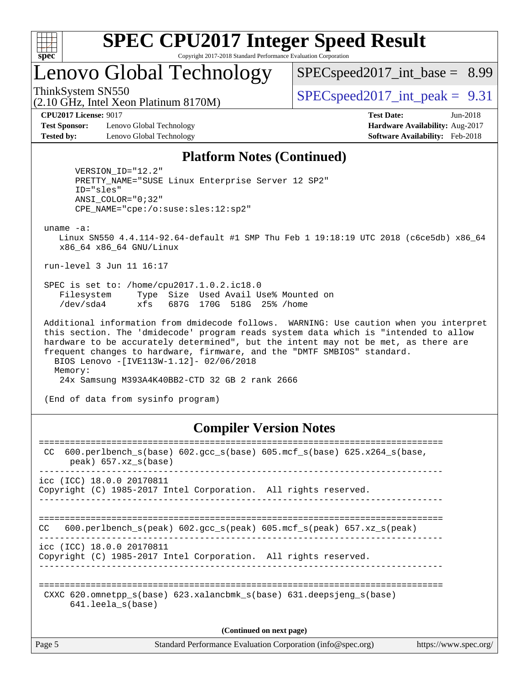

## Lenovo Global Technology

 $SPECspeed2017\_int\_base = 8.99$ 

ThinkSystem SN550  $SPEC speed2017$  int peak = 9.31

**[Test Sponsor:](http://www.spec.org/auto/cpu2017/Docs/result-fields.html#TestSponsor)** Lenovo Global Technology **[Hardware Availability:](http://www.spec.org/auto/cpu2017/Docs/result-fields.html#HardwareAvailability)** Aug-2017 **[Tested by:](http://www.spec.org/auto/cpu2017/Docs/result-fields.html#Testedby)** Lenovo Global Technology **[Software Availability:](http://www.spec.org/auto/cpu2017/Docs/result-fields.html#SoftwareAvailability)** Feb-2018

(2.10 GHz, Intel Xeon Platinum 8170M)

**[CPU2017 License:](http://www.spec.org/auto/cpu2017/Docs/result-fields.html#CPU2017License)** 9017 **[Test Date:](http://www.spec.org/auto/cpu2017/Docs/result-fields.html#TestDate)** Jun-2018

#### **[Platform Notes \(Continued\)](http://www.spec.org/auto/cpu2017/Docs/result-fields.html#PlatformNotes)**

 VERSION\_ID="12.2" PRETTY\_NAME="SUSE Linux Enterprise Server 12 SP2" ID="sles" ANSI\_COLOR="0;32" CPE\_NAME="cpe:/o:suse:sles:12:sp2"

uname -a:

 Linux SN550 4.4.114-92.64-default #1 SMP Thu Feb 1 19:18:19 UTC 2018 (c6ce5db) x86\_64 x86\_64 x86\_64 GNU/Linux

run-level 3 Jun 11 16:17

 SPEC is set to: /home/cpu2017.1.0.2.ic18.0 Filesystem Type Size Used Avail Use% Mounted on /dev/sda4 xfs 687G 170G 518G 25% /home

 Additional information from dmidecode follows. WARNING: Use caution when you interpret this section. The 'dmidecode' program reads system data which is "intended to allow hardware to be accurately determined", but the intent may not be met, as there are frequent changes to hardware, firmware, and the "DMTF SMBIOS" standard. BIOS Lenovo -[IVE113W-1.12]- 02/06/2018 Memory:

24x Samsung M393A4K40BB2-CTD 32 GB 2 rank 2666

(End of data from sysinfo program)

#### **[Compiler Version Notes](http://www.spec.org/auto/cpu2017/Docs/result-fields.html#CompilerVersionNotes)**

| 600.perlbench $s(base)$ 602.gcc $s(base)$ 605.mcf $s(base)$ 625.x264 $s(base)$ ,<br>CC<br>$peak)$ 657.xz $s(base)$ |  |  |  |  |  |
|--------------------------------------------------------------------------------------------------------------------|--|--|--|--|--|
| icc (ICC) 18.0.0 20170811<br>Copyright (C) 1985-2017 Intel Corporation. All rights reserved.                       |  |  |  |  |  |
| 600.perlbench $s$ (peak) 602.gcc $s$ (peak) 605.mcf $s$ (peak) 657.xz $s$ (peak)<br>CC.                            |  |  |  |  |  |
| icc (ICC) 18.0.0 20170811<br>Copyright (C) 1985-2017 Intel Corporation. All rights reserved.                       |  |  |  |  |  |
| CXXC 620.omnetpp $s(base)$ 623.xalancbmk $s(base)$ 631.deepsjeng $s(base)$<br>$641.$ leela $s$ (base)              |  |  |  |  |  |
| (Continued on next page)                                                                                           |  |  |  |  |  |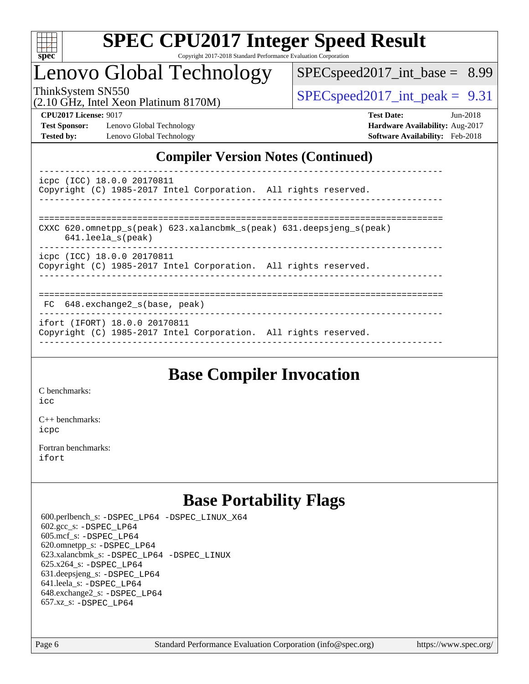

# Lenovo Global Technology

 $SPECspeed2017\_int\_base = 8.99$ 

(2.10 GHz, Intel Xeon Platinum 8170M)

ThinkSystem SN550  $SPEC speed2017$  int peak = 9.31

**[Test Sponsor:](http://www.spec.org/auto/cpu2017/Docs/result-fields.html#TestSponsor)** Lenovo Global Technology **[Hardware Availability:](http://www.spec.org/auto/cpu2017/Docs/result-fields.html#HardwareAvailability)** Aug-2017 **[Tested by:](http://www.spec.org/auto/cpu2017/Docs/result-fields.html#Testedby)** Lenovo Global Technology **[Software Availability:](http://www.spec.org/auto/cpu2017/Docs/result-fields.html#SoftwareAvailability)** Feb-2018

**[CPU2017 License:](http://www.spec.org/auto/cpu2017/Docs/result-fields.html#CPU2017License)** 9017 **[Test Date:](http://www.spec.org/auto/cpu2017/Docs/result-fields.html#TestDate)** Jun-2018

## **[Compiler Version Notes \(Continued\)](http://www.spec.org/auto/cpu2017/Docs/result-fields.html#CompilerVersionNotes)**

----------------------------------------------------------------------------- icpc (ICC) 18.0.0 20170811 Copyright (C) 1985-2017 Intel Corporation. All rights reserved. ------------------------------------------------------------------------------

| CXXC 620.omnetpp $s(\text{peak})$ 623.xalancbmk $s(\text{peak})$ 631.deepsjeng $s(\text{peak})$<br>641.leela_s(peak) |
|----------------------------------------------------------------------------------------------------------------------|
| icpc (ICC) 18.0.0 20170811<br>Copyright (C) 1985-2017 Intel Corporation. All rights reserved.                        |

#### ============================================================================== FC 648.exchange2\_s(base, peak)

----------------------------------------------------------------------------- ifort (IFORT) 18.0.0 20170811

Copyright (C) 1985-2017 Intel Corporation. All rights reserved. ------------------------------------------------------------------------------

## **[Base Compiler Invocation](http://www.spec.org/auto/cpu2017/Docs/result-fields.html#BaseCompilerInvocation)**

[C benchmarks](http://www.spec.org/auto/cpu2017/Docs/result-fields.html#Cbenchmarks):

[icc](http://www.spec.org/cpu2017/results/res2018q3/cpu2017-20180618-07099.flags.html#user_CCbase_intel_icc_18.0_66fc1ee009f7361af1fbd72ca7dcefbb700085f36577c54f309893dd4ec40d12360134090235512931783d35fd58c0460139e722d5067c5574d8eaf2b3e37e92)

[C++ benchmarks:](http://www.spec.org/auto/cpu2017/Docs/result-fields.html#CXXbenchmarks) [icpc](http://www.spec.org/cpu2017/results/res2018q3/cpu2017-20180618-07099.flags.html#user_CXXbase_intel_icpc_18.0_c510b6838c7f56d33e37e94d029a35b4a7bccf4766a728ee175e80a419847e808290a9b78be685c44ab727ea267ec2f070ec5dc83b407c0218cded6866a35d07)

[Fortran benchmarks](http://www.spec.org/auto/cpu2017/Docs/result-fields.html#Fortranbenchmarks): [ifort](http://www.spec.org/cpu2017/results/res2018q3/cpu2017-20180618-07099.flags.html#user_FCbase_intel_ifort_18.0_8111460550e3ca792625aed983ce982f94888b8b503583aa7ba2b8303487b4d8a21a13e7191a45c5fd58ff318f48f9492884d4413fa793fd88dd292cad7027ca)

## **[Base Portability Flags](http://www.spec.org/auto/cpu2017/Docs/result-fields.html#BasePortabilityFlags)**

 600.perlbench\_s: [-DSPEC\\_LP64](http://www.spec.org/cpu2017/results/res2018q3/cpu2017-20180618-07099.flags.html#b600.perlbench_s_basePORTABILITY_DSPEC_LP64) [-DSPEC\\_LINUX\\_X64](http://www.spec.org/cpu2017/results/res2018q3/cpu2017-20180618-07099.flags.html#b600.perlbench_s_baseCPORTABILITY_DSPEC_LINUX_X64) 602.gcc\_s: [-DSPEC\\_LP64](http://www.spec.org/cpu2017/results/res2018q3/cpu2017-20180618-07099.flags.html#suite_basePORTABILITY602_gcc_s_DSPEC_LP64) 605.mcf\_s: [-DSPEC\\_LP64](http://www.spec.org/cpu2017/results/res2018q3/cpu2017-20180618-07099.flags.html#suite_basePORTABILITY605_mcf_s_DSPEC_LP64) 620.omnetpp\_s: [-DSPEC\\_LP64](http://www.spec.org/cpu2017/results/res2018q3/cpu2017-20180618-07099.flags.html#suite_basePORTABILITY620_omnetpp_s_DSPEC_LP64) 623.xalancbmk\_s: [-DSPEC\\_LP64](http://www.spec.org/cpu2017/results/res2018q3/cpu2017-20180618-07099.flags.html#suite_basePORTABILITY623_xalancbmk_s_DSPEC_LP64) [-DSPEC\\_LINUX](http://www.spec.org/cpu2017/results/res2018q3/cpu2017-20180618-07099.flags.html#b623.xalancbmk_s_baseCXXPORTABILITY_DSPEC_LINUX) 625.x264\_s: [-DSPEC\\_LP64](http://www.spec.org/cpu2017/results/res2018q3/cpu2017-20180618-07099.flags.html#suite_basePORTABILITY625_x264_s_DSPEC_LP64) 631.deepsjeng\_s: [-DSPEC\\_LP64](http://www.spec.org/cpu2017/results/res2018q3/cpu2017-20180618-07099.flags.html#suite_basePORTABILITY631_deepsjeng_s_DSPEC_LP64) 641.leela\_s: [-DSPEC\\_LP64](http://www.spec.org/cpu2017/results/res2018q3/cpu2017-20180618-07099.flags.html#suite_basePORTABILITY641_leela_s_DSPEC_LP64) 648.exchange2\_s: [-DSPEC\\_LP64](http://www.spec.org/cpu2017/results/res2018q3/cpu2017-20180618-07099.flags.html#suite_basePORTABILITY648_exchange2_s_DSPEC_LP64) 657.xz\_s: [-DSPEC\\_LP64](http://www.spec.org/cpu2017/results/res2018q3/cpu2017-20180618-07099.flags.html#suite_basePORTABILITY657_xz_s_DSPEC_LP64)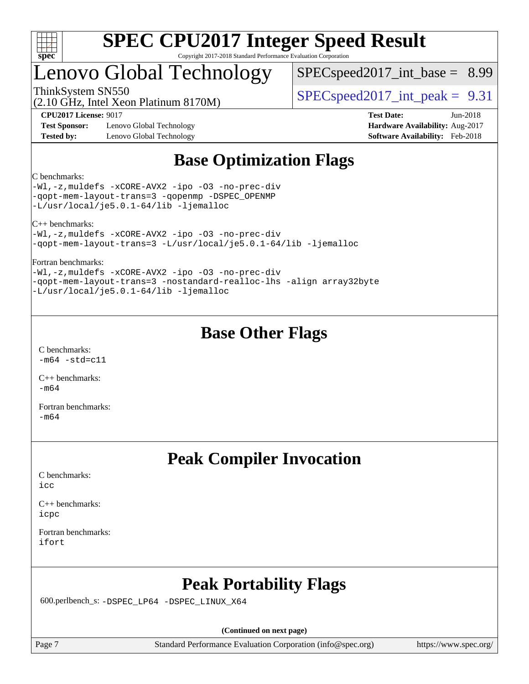

## Lenovo Global Technology

 $SPEC speed2017\_int\_base = 8.99$ 

(2.10 GHz, Intel Xeon Platinum 8170M)

ThinkSystem SN550  $SPEC speed2017$  int peak = 9.31

**[Test Sponsor:](http://www.spec.org/auto/cpu2017/Docs/result-fields.html#TestSponsor)** Lenovo Global Technology **[Hardware Availability:](http://www.spec.org/auto/cpu2017/Docs/result-fields.html#HardwareAvailability)** Aug-2017 **[Tested by:](http://www.spec.org/auto/cpu2017/Docs/result-fields.html#Testedby)** Lenovo Global Technology **[Software Availability:](http://www.spec.org/auto/cpu2017/Docs/result-fields.html#SoftwareAvailability)** Feb-2018

**[CPU2017 License:](http://www.spec.org/auto/cpu2017/Docs/result-fields.html#CPU2017License)** 9017 **[Test Date:](http://www.spec.org/auto/cpu2017/Docs/result-fields.html#TestDate)** Jun-2018

## **[Base Optimization Flags](http://www.spec.org/auto/cpu2017/Docs/result-fields.html#BaseOptimizationFlags)**

#### [C benchmarks:](http://www.spec.org/auto/cpu2017/Docs/result-fields.html#Cbenchmarks)

[-Wl,-z,muldefs](http://www.spec.org/cpu2017/results/res2018q3/cpu2017-20180618-07099.flags.html#user_CCbase_link_force_multiple1_b4cbdb97b34bdee9ceefcfe54f4c8ea74255f0b02a4b23e853cdb0e18eb4525ac79b5a88067c842dd0ee6996c24547a27a4b99331201badda8798ef8a743f577) [-xCORE-AVX2](http://www.spec.org/cpu2017/results/res2018q3/cpu2017-20180618-07099.flags.html#user_CCbase_f-xCORE-AVX2) [-ipo](http://www.spec.org/cpu2017/results/res2018q3/cpu2017-20180618-07099.flags.html#user_CCbase_f-ipo) [-O3](http://www.spec.org/cpu2017/results/res2018q3/cpu2017-20180618-07099.flags.html#user_CCbase_f-O3) [-no-prec-div](http://www.spec.org/cpu2017/results/res2018q3/cpu2017-20180618-07099.flags.html#user_CCbase_f-no-prec-div) [-qopt-mem-layout-trans=3](http://www.spec.org/cpu2017/results/res2018q3/cpu2017-20180618-07099.flags.html#user_CCbase_f-qopt-mem-layout-trans_de80db37974c74b1f0e20d883f0b675c88c3b01e9d123adea9b28688d64333345fb62bc4a798493513fdb68f60282f9a726aa07f478b2f7113531aecce732043) [-qopenmp](http://www.spec.org/cpu2017/results/res2018q3/cpu2017-20180618-07099.flags.html#user_CCbase_qopenmp_16be0c44f24f464004c6784a7acb94aca937f053568ce72f94b139a11c7c168634a55f6653758ddd83bcf7b8463e8028bb0b48b77bcddc6b78d5d95bb1df2967) [-DSPEC\\_OPENMP](http://www.spec.org/cpu2017/results/res2018q3/cpu2017-20180618-07099.flags.html#suite_CCbase_DSPEC_OPENMP) [-L/usr/local/je5.0.1-64/lib](http://www.spec.org/cpu2017/results/res2018q3/cpu2017-20180618-07099.flags.html#user_CCbase_jemalloc_link_path64_4b10a636b7bce113509b17f3bd0d6226c5fb2346b9178c2d0232c14f04ab830f976640479e5c33dc2bcbbdad86ecfb6634cbbd4418746f06f368b512fced5394) [-ljemalloc](http://www.spec.org/cpu2017/results/res2018q3/cpu2017-20180618-07099.flags.html#user_CCbase_jemalloc_link_lib_d1249b907c500fa1c0672f44f562e3d0f79738ae9e3c4a9c376d49f265a04b9c99b167ecedbf6711b3085be911c67ff61f150a17b3472be731631ba4d0471706)

[C++ benchmarks:](http://www.spec.org/auto/cpu2017/Docs/result-fields.html#CXXbenchmarks)

[-Wl,-z,muldefs](http://www.spec.org/cpu2017/results/res2018q3/cpu2017-20180618-07099.flags.html#user_CXXbase_link_force_multiple1_b4cbdb97b34bdee9ceefcfe54f4c8ea74255f0b02a4b23e853cdb0e18eb4525ac79b5a88067c842dd0ee6996c24547a27a4b99331201badda8798ef8a743f577) [-xCORE-AVX2](http://www.spec.org/cpu2017/results/res2018q3/cpu2017-20180618-07099.flags.html#user_CXXbase_f-xCORE-AVX2) [-ipo](http://www.spec.org/cpu2017/results/res2018q3/cpu2017-20180618-07099.flags.html#user_CXXbase_f-ipo) [-O3](http://www.spec.org/cpu2017/results/res2018q3/cpu2017-20180618-07099.flags.html#user_CXXbase_f-O3) [-no-prec-div](http://www.spec.org/cpu2017/results/res2018q3/cpu2017-20180618-07099.flags.html#user_CXXbase_f-no-prec-div) [-qopt-mem-layout-trans=3](http://www.spec.org/cpu2017/results/res2018q3/cpu2017-20180618-07099.flags.html#user_CXXbase_f-qopt-mem-layout-trans_de80db37974c74b1f0e20d883f0b675c88c3b01e9d123adea9b28688d64333345fb62bc4a798493513fdb68f60282f9a726aa07f478b2f7113531aecce732043) [-L/usr/local/je5.0.1-64/lib](http://www.spec.org/cpu2017/results/res2018q3/cpu2017-20180618-07099.flags.html#user_CXXbase_jemalloc_link_path64_4b10a636b7bce113509b17f3bd0d6226c5fb2346b9178c2d0232c14f04ab830f976640479e5c33dc2bcbbdad86ecfb6634cbbd4418746f06f368b512fced5394) [-ljemalloc](http://www.spec.org/cpu2017/results/res2018q3/cpu2017-20180618-07099.flags.html#user_CXXbase_jemalloc_link_lib_d1249b907c500fa1c0672f44f562e3d0f79738ae9e3c4a9c376d49f265a04b9c99b167ecedbf6711b3085be911c67ff61f150a17b3472be731631ba4d0471706)

#### [Fortran benchmarks](http://www.spec.org/auto/cpu2017/Docs/result-fields.html#Fortranbenchmarks):

[-Wl,-z,muldefs](http://www.spec.org/cpu2017/results/res2018q3/cpu2017-20180618-07099.flags.html#user_FCbase_link_force_multiple1_b4cbdb97b34bdee9ceefcfe54f4c8ea74255f0b02a4b23e853cdb0e18eb4525ac79b5a88067c842dd0ee6996c24547a27a4b99331201badda8798ef8a743f577) [-xCORE-AVX2](http://www.spec.org/cpu2017/results/res2018q3/cpu2017-20180618-07099.flags.html#user_FCbase_f-xCORE-AVX2) [-ipo](http://www.spec.org/cpu2017/results/res2018q3/cpu2017-20180618-07099.flags.html#user_FCbase_f-ipo) [-O3](http://www.spec.org/cpu2017/results/res2018q3/cpu2017-20180618-07099.flags.html#user_FCbase_f-O3) [-no-prec-div](http://www.spec.org/cpu2017/results/res2018q3/cpu2017-20180618-07099.flags.html#user_FCbase_f-no-prec-div) [-qopt-mem-layout-trans=3](http://www.spec.org/cpu2017/results/res2018q3/cpu2017-20180618-07099.flags.html#user_FCbase_f-qopt-mem-layout-trans_de80db37974c74b1f0e20d883f0b675c88c3b01e9d123adea9b28688d64333345fb62bc4a798493513fdb68f60282f9a726aa07f478b2f7113531aecce732043) [-nostandard-realloc-lhs](http://www.spec.org/cpu2017/results/res2018q3/cpu2017-20180618-07099.flags.html#user_FCbase_f_2003_std_realloc_82b4557e90729c0f113870c07e44d33d6f5a304b4f63d4c15d2d0f1fab99f5daaed73bdb9275d9ae411527f28b936061aa8b9c8f2d63842963b95c9dd6426b8a) [-align array32byte](http://www.spec.org/cpu2017/results/res2018q3/cpu2017-20180618-07099.flags.html#user_FCbase_align_array32byte_b982fe038af199962ba9a80c053b8342c548c85b40b8e86eb3cc33dee0d7986a4af373ac2d51c3f7cf710a18d62fdce2948f201cd044323541f22fc0fffc51b6) [-L/usr/local/je5.0.1-64/lib](http://www.spec.org/cpu2017/results/res2018q3/cpu2017-20180618-07099.flags.html#user_FCbase_jemalloc_link_path64_4b10a636b7bce113509b17f3bd0d6226c5fb2346b9178c2d0232c14f04ab830f976640479e5c33dc2bcbbdad86ecfb6634cbbd4418746f06f368b512fced5394) [-ljemalloc](http://www.spec.org/cpu2017/results/res2018q3/cpu2017-20180618-07099.flags.html#user_FCbase_jemalloc_link_lib_d1249b907c500fa1c0672f44f562e3d0f79738ae9e3c4a9c376d49f265a04b9c99b167ecedbf6711b3085be911c67ff61f150a17b3472be731631ba4d0471706)

## **[Base Other Flags](http://www.spec.org/auto/cpu2017/Docs/result-fields.html#BaseOtherFlags)**

[C benchmarks](http://www.spec.org/auto/cpu2017/Docs/result-fields.html#Cbenchmarks):  $-m64$   $-std=cl1$ 

[C++ benchmarks:](http://www.spec.org/auto/cpu2017/Docs/result-fields.html#CXXbenchmarks)  $-m64$ 

[Fortran benchmarks](http://www.spec.org/auto/cpu2017/Docs/result-fields.html#Fortranbenchmarks): [-m64](http://www.spec.org/cpu2017/results/res2018q3/cpu2017-20180618-07099.flags.html#user_FCbase_intel_intel64_18.0_af43caccfc8ded86e7699f2159af6efc7655f51387b94da716254467f3c01020a5059329e2569e4053f409e7c9202a7efc638f7a6d1ffb3f52dea4a3e31d82ab)

## **[Peak Compiler Invocation](http://www.spec.org/auto/cpu2017/Docs/result-fields.html#PeakCompilerInvocation)**

[C benchmarks](http://www.spec.org/auto/cpu2017/Docs/result-fields.html#Cbenchmarks): [icc](http://www.spec.org/cpu2017/results/res2018q3/cpu2017-20180618-07099.flags.html#user_CCpeak_intel_icc_18.0_66fc1ee009f7361af1fbd72ca7dcefbb700085f36577c54f309893dd4ec40d12360134090235512931783d35fd58c0460139e722d5067c5574d8eaf2b3e37e92)

[C++ benchmarks:](http://www.spec.org/auto/cpu2017/Docs/result-fields.html#CXXbenchmarks) [icpc](http://www.spec.org/cpu2017/results/res2018q3/cpu2017-20180618-07099.flags.html#user_CXXpeak_intel_icpc_18.0_c510b6838c7f56d33e37e94d029a35b4a7bccf4766a728ee175e80a419847e808290a9b78be685c44ab727ea267ec2f070ec5dc83b407c0218cded6866a35d07)

[Fortran benchmarks](http://www.spec.org/auto/cpu2017/Docs/result-fields.html#Fortranbenchmarks): [ifort](http://www.spec.org/cpu2017/results/res2018q3/cpu2017-20180618-07099.flags.html#user_FCpeak_intel_ifort_18.0_8111460550e3ca792625aed983ce982f94888b8b503583aa7ba2b8303487b4d8a21a13e7191a45c5fd58ff318f48f9492884d4413fa793fd88dd292cad7027ca)

## **[Peak Portability Flags](http://www.spec.org/auto/cpu2017/Docs/result-fields.html#PeakPortabilityFlags)**

600.perlbench\_s: [-DSPEC\\_LP64](http://www.spec.org/cpu2017/results/res2018q3/cpu2017-20180618-07099.flags.html#b600.perlbench_s_peakPORTABILITY_DSPEC_LP64) [-DSPEC\\_LINUX\\_X64](http://www.spec.org/cpu2017/results/res2018q3/cpu2017-20180618-07099.flags.html#b600.perlbench_s_peakCPORTABILITY_DSPEC_LINUX_X64)

**(Continued on next page)**

Page 7 Standard Performance Evaluation Corporation [\(info@spec.org\)](mailto:info@spec.org) <https://www.spec.org/>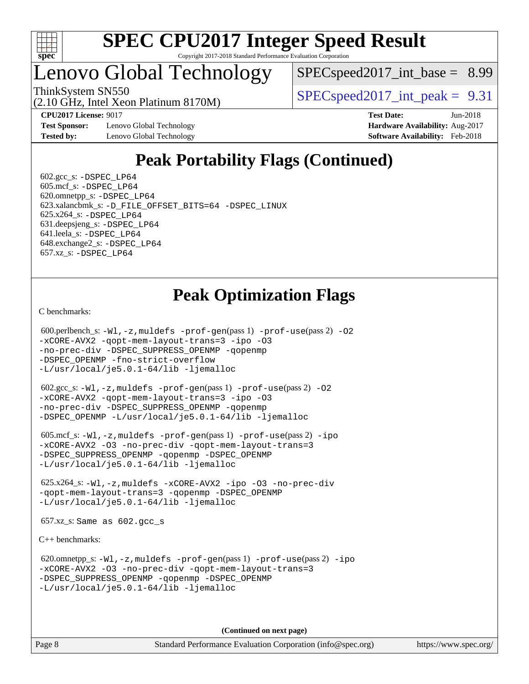

## Lenovo Global Technology

 $SPEC speed2017\_int\_base = 8.99$ 

ThinkSystem SN550  $SPEC speed2017$  int peak = 9.31

(2.10 GHz, Intel Xeon Platinum 8170M)

**[Test Sponsor:](http://www.spec.org/auto/cpu2017/Docs/result-fields.html#TestSponsor)** Lenovo Global Technology **[Hardware Availability:](http://www.spec.org/auto/cpu2017/Docs/result-fields.html#HardwareAvailability)** Aug-2017 **[Tested by:](http://www.spec.org/auto/cpu2017/Docs/result-fields.html#Testedby)** Lenovo Global Technology **[Software Availability:](http://www.spec.org/auto/cpu2017/Docs/result-fields.html#SoftwareAvailability)** Feb-2018

**[CPU2017 License:](http://www.spec.org/auto/cpu2017/Docs/result-fields.html#CPU2017License)** 9017 **[Test Date:](http://www.spec.org/auto/cpu2017/Docs/result-fields.html#TestDate)** Jun-2018

# **[Peak Portability Flags \(Continued\)](http://www.spec.org/auto/cpu2017/Docs/result-fields.html#PeakPortabilityFlags)**

 $602.\text{gcc}\simeq$  -DSPEC LP64 605.mcf\_s: [-DSPEC\\_LP64](http://www.spec.org/cpu2017/results/res2018q3/cpu2017-20180618-07099.flags.html#suite_peakPORTABILITY605_mcf_s_DSPEC_LP64) 620.omnetpp\_s: [-DSPEC\\_LP64](http://www.spec.org/cpu2017/results/res2018q3/cpu2017-20180618-07099.flags.html#suite_peakPORTABILITY620_omnetpp_s_DSPEC_LP64) 623.xalancbmk\_s: [-D\\_FILE\\_OFFSET\\_BITS=64](http://www.spec.org/cpu2017/results/res2018q3/cpu2017-20180618-07099.flags.html#user_peakPORTABILITY623_xalancbmk_s_file_offset_bits_64_5ae949a99b284ddf4e95728d47cb0843d81b2eb0e18bdfe74bbf0f61d0b064f4bda2f10ea5eb90e1dcab0e84dbc592acfc5018bc955c18609f94ddb8d550002c) [-DSPEC\\_LINUX](http://www.spec.org/cpu2017/results/res2018q3/cpu2017-20180618-07099.flags.html#b623.xalancbmk_s_peakCXXPORTABILITY_DSPEC_LINUX) 625.x264\_s: [-DSPEC\\_LP64](http://www.spec.org/cpu2017/results/res2018q3/cpu2017-20180618-07099.flags.html#suite_peakPORTABILITY625_x264_s_DSPEC_LP64) 631.deepsjeng\_s: [-DSPEC\\_LP64](http://www.spec.org/cpu2017/results/res2018q3/cpu2017-20180618-07099.flags.html#suite_peakPORTABILITY631_deepsjeng_s_DSPEC_LP64) 641.leela\_s: [-DSPEC\\_LP64](http://www.spec.org/cpu2017/results/res2018q3/cpu2017-20180618-07099.flags.html#suite_peakPORTABILITY641_leela_s_DSPEC_LP64) 648.exchange2\_s: [-DSPEC\\_LP64](http://www.spec.org/cpu2017/results/res2018q3/cpu2017-20180618-07099.flags.html#suite_peakPORTABILITY648_exchange2_s_DSPEC_LP64) 657.xz\_s: [-DSPEC\\_LP64](http://www.spec.org/cpu2017/results/res2018q3/cpu2017-20180618-07099.flags.html#suite_peakPORTABILITY657_xz_s_DSPEC_LP64)

# **[Peak Optimization Flags](http://www.spec.org/auto/cpu2017/Docs/result-fields.html#PeakOptimizationFlags)**

[C benchmarks](http://www.spec.org/auto/cpu2017/Docs/result-fields.html#Cbenchmarks):

```
(info@spec.org)https://www.spec.org/
  600.perlbench_s: -Wl,-z,muldefs -prof-gen(pass 1) -prof-use(pass 2) -O2
-xCORE-AVX2 -qopt-mem-layout-trans=3 -ipo -O3
-no-prec-div -DSPEC_SUPPRESS_OPENMP -qopenmp
-DSPEC_OPENMP -fno-strict-overflow
-L/usr/local/je5.0.1-64/lib -ljemalloc
  602.gcc_s: -Wl,-z,muldefs -prof-gen(pass 1) -prof-use(pass 2) -O2
-xCORE-AVX2 -qopt-mem-layout-trans=3 -ipo -O3
-no-prec-div -DSPEC_SUPPRESS_OPENMP -qopenmp
-DSPEC_OPENMP -L/usr/local/je5.0.1-64/lib -ljemalloc
  605.mcf_s: -Wl,-z,muldefs -prof-gen(pass 1) -prof-use(pass 2) -ipo
-xCORE-AVX2 -O3 -no-prec-div -qopt-mem-layout-trans=3
-DSPEC_SUPPRESS_OPENMP -qopenmp -DSPEC_OPENMP
-L/usr/local/je5.0.1-64/lib -ljemalloc
  625.x264_s: -Wl,-z,muldefs -xCORE-AVX2 -ipo -O3 -no-prec-div
-qopt-mem-layout-trans=3 -qopenmp -DSPEC_OPENMP
-L/usr/local/je5.0.1-64/lib -ljemalloc
  657.xz_s: Same as 602.gcc_s
C++ benchmarks: 
  620.omnetpp_s: -Wl,-z,muldefs -prof-gen(pass 1) -prof-use(pass 2) -ipo
-xCORE-AVX2 -O3 -no-prec-div -qopt-mem-layout-trans=3
-DSPEC_SUPPRESS_OPENMP -qopenmp -DSPEC_OPENMP
-L/usr/local/je5.0.1-64/lib -ljemalloc
                                    (Continued on next page)
```